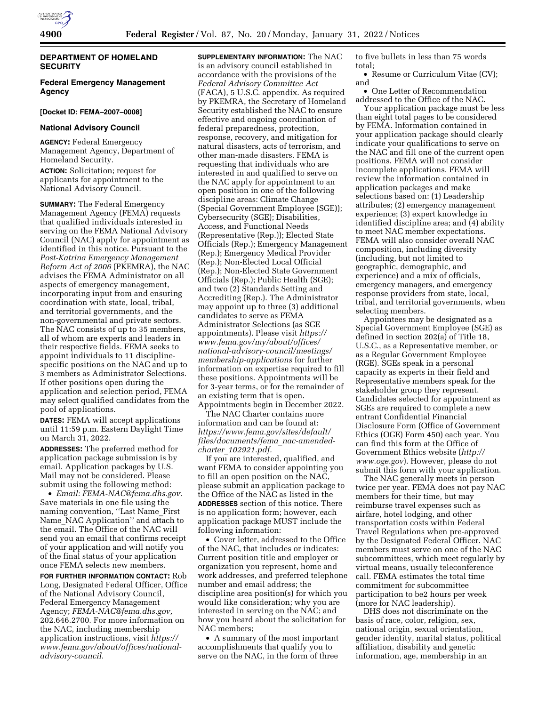

## **DEPARTMENT OF HOMELAND SECURITY**

## **Federal Emergency Management Agency**

#### **[Docket ID: FEMA–2007–0008]**

#### **National Advisory Council**

**AGENCY:** Federal Emergency Management Agency, Department of Homeland Security.

**ACTION:** Solicitation; request for applicants for appointment to the National Advisory Council.

**SUMMARY:** The Federal Emergency Management Agency (FEMA) requests that qualified individuals interested in serving on the FEMA National Advisory Council (NAC) apply for appointment as identified in this notice. Pursuant to the *Post-Katrina Emergency Management Reform Act of 2006* (PKEMRA), the NAC advises the FEMA Administrator on all aspects of emergency management, incorporating input from and ensuring coordination with state, local, tribal, and territorial governments, and the non-governmental and private sectors. The NAC consists of up to 35 members, all of whom are experts and leaders in their respective fields. FEMA seeks to appoint individuals to 11 disciplinespecific positions on the NAC and up to 3 members as Administrator Selections. If other positions open during the application and selection period, FEMA may select qualified candidates from the pool of applications.

**DATES:** FEMA will accept applications until 11:59 p.m. Eastern Daylight Time on March 31, 2022.

**ADDRESSES:** The preferred method for application package submission is by email. Application packages by U.S. Mail may not be considered. Please submit using the following method:

• *Email: [FEMA-NAC@fema.dhs.gov.](mailto:FEMA-NAC@fema.dhs.gov)*  Save materials in one file using the naming convention, ''Last Name\_First Name\_NAC Application'' and attach to the email. The Office of the NAC will send you an email that confirms receipt of your application and will notify you of the final status of your application once FEMA selects new members.

**FOR FURTHER INFORMATION CONTACT:** Rob Long, Designated Federal Officer, Office of the National Advisory Council, Federal Emergency Management Agency; *[FEMA-NAC@fema.dhs.gov,](mailto:FEMA-NAC@fema.dhs.gov)*  202.646.2700. For more information on the NAC, including membership application instructions, visit *[https://](https://www.fema.gov/about/offices/national-advisory-council) [www.fema.gov/about/offices/national](https://www.fema.gov/about/offices/national-advisory-council)[advisory-council.](https://www.fema.gov/about/offices/national-advisory-council)* 

**SUPPLEMENTARY INFORMATION:** The NAC is an advisory council established in accordance with the provisions of the *Federal Advisory Committee Act*  (FACA), 5 U.S.C. appendix. As required by PKEMRA, the Secretary of Homeland Security established the NAC to ensure effective and ongoing coordination of federal preparedness, protection, response, recovery, and mitigation for natural disasters, acts of terrorism, and other man-made disasters. FEMA is requesting that individuals who are interested in and qualified to serve on the NAC apply for appointment to an open position in one of the following discipline areas: Climate Change (Special Government Employee (SGE)); Cybersecurity (SGE); Disabilities, Access, and Functional Needs (Representative (Rep.)); Elected State Officials (Rep.); Emergency Management (Rep.); Emergency Medical Provider (Rep.); Non-Elected Local Official (Rep.); Non-Elected State Government Officials (Rep.); Public Health (SGE); and two (2) Standards Setting and Accrediting (Rep.). The Administrator may appoint up to three (3) additional candidates to serve as FEMA Administrator Selections (as SGE appointments). Please visit *[https://](https://www.fema.gov/my/about/offices/national-advisory-council/meetings/membership-applications) [www.fema.gov/my/about/offices/](https://www.fema.gov/my/about/offices/national-advisory-council/meetings/membership-applications) [national-advisory-council/meetings/](https://www.fema.gov/my/about/offices/national-advisory-council/meetings/membership-applications) [membership-applications](https://www.fema.gov/my/about/offices/national-advisory-council/meetings/membership-applications)* for further information on expertise required to fill these positions. Appointments will be for 3-year terms, or for the remainder of an existing term that is open. Appointments begin in December 2022.

The NAC Charter contains more information and can be found at: *[https://www.fema.gov/sites/default/](https://www.fema.gov/sites/default/files/documents/fema_nac-amended-charter_102921.pdf)  [files/documents/fema](https://www.fema.gov/sites/default/files/documents/fema_nac-amended-charter_102921.pdf)*\_*nac-amendedcharter*\_*[102921.pdf.](https://www.fema.gov/sites/default/files/documents/fema_nac-amended-charter_102921.pdf)* 

If you are interested, qualified, and want FEMA to consider appointing you to fill an open position on the NAC, please submit an application package to the Office of the NAC as listed in the **ADDRESSES** section of this notice. There is no application form; however, each application package MUST include the following information:

• Cover letter, addressed to the Office of the NAC, that includes or indicates: Current position title and employer or organization you represent, home and work addresses, and preferred telephone number and email address; the discipline area position(s) for which you would like consideration; why you are interested in serving on the NAC; and how you heard about the solicitation for NAC members;

• A summary of the most important accomplishments that qualify you to serve on the NAC, in the form of three

to five bullets in less than 75 words total;

• Resume or Curriculum Vitae (CV); and

• One Letter of Recommendation addressed to the Office of the NAC.

Your application package must be less than eight total pages to be considered by FEMA. Information contained in your application package should clearly indicate your qualifications to serve on the NAC and fill one of the current open positions. FEMA will not consider incomplete applications. FEMA will review the information contained in application packages and make selections based on: (1) Leadership attributes; (2) emergency management experience; (3) expert knowledge in identified discipline area; and (4) ability to meet NAC member expectations. FEMA will also consider overall NAC composition, including diversity (including, but not limited to geographic, demographic, and experience) and a mix of officials, emergency managers, and emergency response providers from state, local, tribal, and territorial governments, when selecting members.

Appointees may be designated as a Special Government Employee (SGE) as defined in section 202(a) of Title 18, U.S.C., as a Representative member, or as a Regular Government Employee (RGE). SGEs speak in a personal capacity as experts in their field and Representative members speak for the stakeholder group they represent. Candidates selected for appointment as SGEs are required to complete a new entrant Confidential Financial Disclosure Form (Office of Government Ethics (OGE) Form 450) each year. You can find this form at the Office of Government Ethics website (*[http://](http://www.oge.gov) [www.oge.gov](http://www.oge.gov)*). However, please do not submit this form with your application.

The NAC generally meets in person twice per year. FEMA does not pay NAC members for their time, but may reimburse travel expenses such as airfare, hotel lodging, and other transportation costs within Federal Travel Regulations when pre-approved by the Designated Federal Officer. NAC members must serve on one of the NAC subcommittees, which meet regularly by virtual means, usually teleconference call. FEMA estimates the total time commitment for subcommittee participation to be2 hours per week (more for NAC leadership).

DHS does not discriminate on the basis of race, color, religion, sex, national origin, sexual orientation, gender identity, marital status, political affiliation, disability and genetic information, age, membership in an